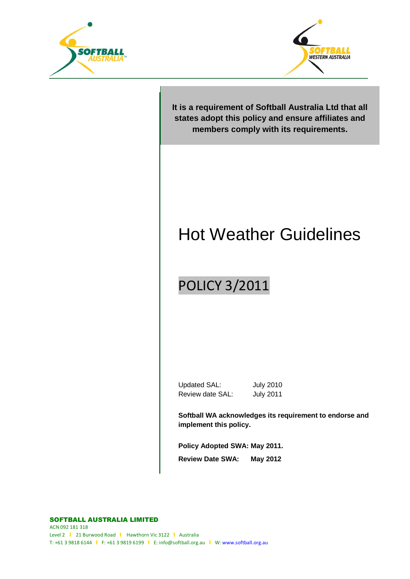



**It is a requirement of Softball Australia Ltd that all states adopt this policy and ensure affiliates and members comply with its requirements.**

# Hot Weather Guidelines

## POLICY 3/2011

Updated SAL: July 2010 Review date SAL: July 2011

**Softball WA acknowledges its requirement to endorse and implement this policy.**

**Policy Adopted SWA: May 2011. Review Date SWA: May 2012**

SOFTBALL AUSTRALIA LIMITED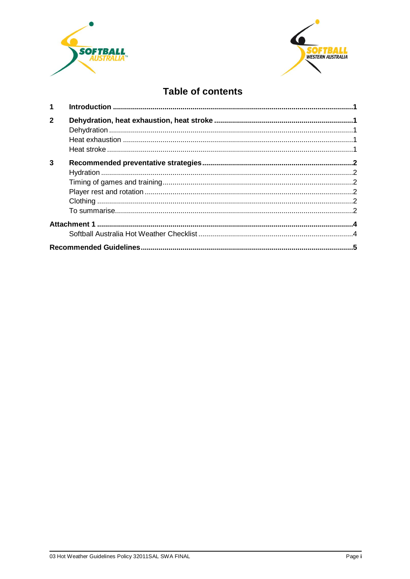



### **Table of contents**

| $\overline{\mathbf{1}}$ |  |  |  |  |  |
|-------------------------|--|--|--|--|--|
| $\mathbf{2}$            |  |  |  |  |  |
| 3                       |  |  |  |  |  |
|                         |  |  |  |  |  |
|                         |  |  |  |  |  |
|                         |  |  |  |  |  |
|                         |  |  |  |  |  |
|                         |  |  |  |  |  |
|                         |  |  |  |  |  |
|                         |  |  |  |  |  |
|                         |  |  |  |  |  |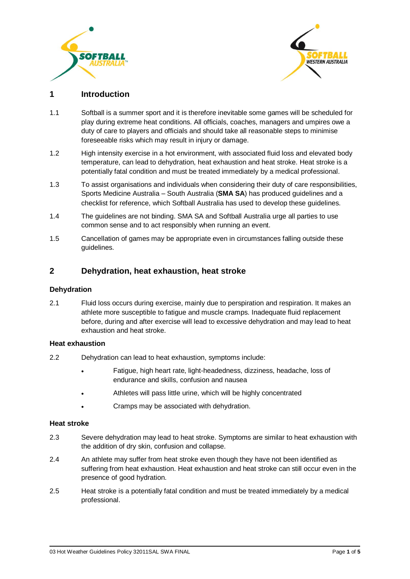



#### <span id="page-2-0"></span>**1 Introduction**

- 1.1 Softball is a summer sport and it is therefore inevitable some games will be scheduled for play during extreme heat conditions. All officials, coaches, managers and umpires owe a duty of care to players and officials and should take all reasonable steps to minimise foreseeable risks which may result in injury or damage.
- 1.2 High intensity exercise in a hot environment, with associated fluid loss and elevated body temperature, can lead to dehydration, heat exhaustion and heat stroke. Heat stroke is a potentially fatal condition and must be treated immediately by a medical professional.
- 1.3 To assist organisations and individuals when considering their duty of care responsibilities, Sports Medicine Australia – South Australia (**SMA SA**) has produced guidelines and a checklist for reference, which Softball Australia has used to develop these guidelines.
- 1.4 The guidelines are not binding. SMA SA and Softball Australia urge all parties to use common sense and to act responsibly when running an event.
- 1.5 Cancellation of games may be appropriate even in circumstances falling outside these guidelines.

#### <span id="page-2-1"></span>**2 Dehydration, heat exhaustion, heat stroke**

#### <span id="page-2-2"></span>**Dehydration**

2.1 Fluid loss occurs during exercise, mainly due to perspiration and respiration. It makes an athlete more susceptible to fatigue and muscle cramps. Inadequate fluid replacement before, during and after exercise will lead to excessive dehydration and may lead to heat exhaustion and heat stroke.

#### <span id="page-2-3"></span>**Heat exhaustion**

- 2.2 Dehydration can lead to heat exhaustion, symptoms include:
	- Fatigue, high heart rate, light-headedness, dizziness, headache, loss of endurance and skills, confusion and nausea
	- Athletes will pass little urine, which will be highly concentrated
	- Cramps may be associated with dehydration.

#### <span id="page-2-4"></span>**Heat stroke**

- 2.3 Severe dehydration may lead to heat stroke. Symptoms are similar to heat exhaustion with the addition of dry skin, confusion and collapse.
- 2.4 An athlete may suffer from heat stroke even though they have not been identified as suffering from heat exhaustion. Heat exhaustion and heat stroke can still occur even in the presence of good hydration.
- 2.5 Heat stroke is a potentially fatal condition and must be treated immediately by a medical professional.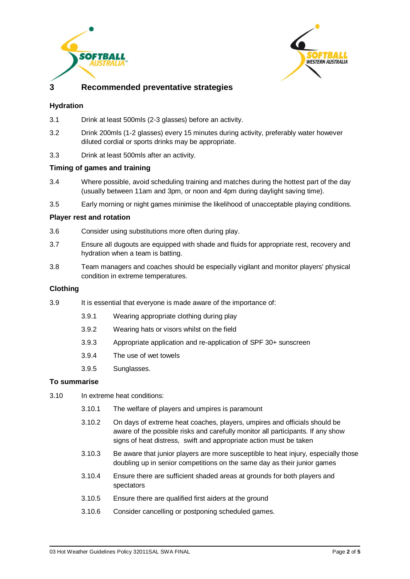



#### **3 Recommended preventative strategies**

#### <span id="page-3-1"></span><span id="page-3-0"></span>**Hydration**

- 3.1 Drink at least 500mls (2-3 glasses) before an activity.
- 3.2 Drink 200mls (1-2 glasses) every 15 minutes during activity, preferably water however diluted cordial or sports drinks may be appropriate.
- 3.3 Drink at least 500mls after an activity.

#### <span id="page-3-2"></span>**Timing of games and training**

- 3.4 Where possible, avoid scheduling training and matches during the hottest part of the day (usually between 11am and 3pm, or noon and 4pm during daylight saving time).
- 3.5 Early morning or night games minimise the likelihood of unacceptable playing conditions.

#### <span id="page-3-3"></span>**Player rest and rotation**

- 3.6 Consider using substitutions more often during play.
- 3.7 Ensure all dugouts are equipped with shade and fluids for appropriate rest, recovery and hydration when a team is batting.
- 3.8 Team managers and coaches should be especially vigilant and monitor players' physical condition in extreme temperatures.

#### <span id="page-3-4"></span>**Clothing**

- 3.9 It is essential that everyone is made aware of the importance of:
	- 3.9.1 Wearing appropriate clothing during play
	- 3.9.2 Wearing hats or visors whilst on the field
	- 3.9.3 Appropriate application and re-application of SPF 30+ sunscreen
	- 3.9.4 The use of wet towels
	- 3.9.5 Sunglasses.

#### <span id="page-3-5"></span>**To summarise**

- 3.10 In extreme heat conditions:
	- 3.10.1 The welfare of players and umpires is paramount
	- 3.10.2 On days of extreme heat coaches, players, umpires and officials should be aware of the possible risks and carefully monitor all participants. If any show signs of heat distress, swift and appropriate action must be taken
	- 3.10.3 Be aware that junior players are more susceptible to heat injury, especially those doubling up in senior competitions on the same day as their junior games
	- 3.10.4 Ensure there are sufficient shaded areas at grounds for both players and spectators
	- 3.10.5 Ensure there are qualified first aiders at the ground
	- 3.10.6 Consider cancelling or postponing scheduled games.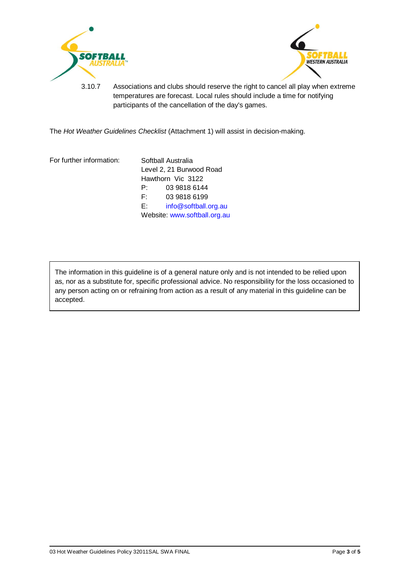



3.10.7 Associations and clubs should reserve the right to cancel all play when extreme temperatures are forecast. Local rules should include a time for notifying participants of the cancellation of the day's games.

The *Hot Weather Guidelines Checklist* [\(Attachment 1\)](#page-5-0) will assist in decision-making.

For further information: Softball Australia

Level 2, 21 Burwood Road Hawthorn Vic 3122 P: 03 9818 6144 F: 03 9818 6199 E: [info@softball.org.au](mailto:info@softball.org.au) Website[: www.softball.org.au](http://www.softball.org.au/)

The information in this guideline is of a general nature only and is not intended to be relied upon as, nor as a substitute for, specific professional advice. No responsibility for the loss occasioned to any person acting on or refraining from action as a result of any material in this guideline can be accepted.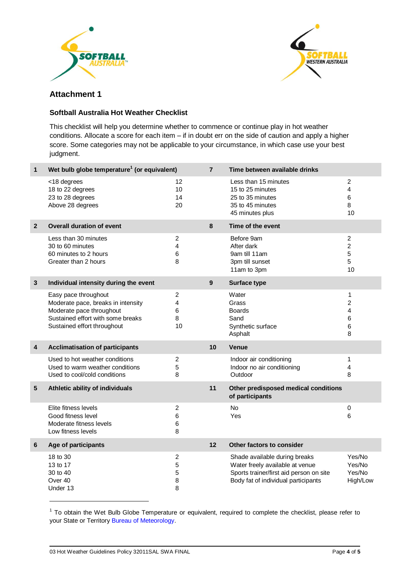



#### <span id="page-5-0"></span>**Attachment 1**

#### <span id="page-5-1"></span>**Softball Australia Hot Weather Checklist**

This checklist will help you determine whether to commence or continue play in hot weather conditions. Allocate a score for each item – if in doubt err on the side of caution and apply a higher score. Some categories may not be applicable to your circumstance, in which case use your best judgment.

| 1              | Wet bulb globe temperature <sup>1</sup> (or equivalent)                                                                                                    |                                     | $\overline{7}$ | Time between available drinks                                                                                                                      |                                                  |
|----------------|------------------------------------------------------------------------------------------------------------------------------------------------------------|-------------------------------------|----------------|----------------------------------------------------------------------------------------------------------------------------------------------------|--------------------------------------------------|
|                | <18 degrees<br>18 to 22 degrees<br>23 to 28 degrees<br>Above 28 degrees                                                                                    | $12 \overline{ }$<br>10<br>14<br>20 |                | Less than 15 minutes<br>15 to 25 minutes<br>25 to 35 minutes<br>35 to 45 minutes<br>45 minutes plus                                                | 2<br>4<br>6<br>8<br>10                           |
| $\overline{2}$ | <b>Overall duration of event</b>                                                                                                                           |                                     | 8              | Time of the event                                                                                                                                  |                                                  |
|                | Less than 30 minutes<br>30 to 60 minutes<br>60 minutes to 2 hours<br>Greater than 2 hours                                                                  | $\overline{c}$<br>4<br>6<br>8       |                | Before 9am<br>After dark<br>9am till 11am<br>3pm till sunset<br>11am to 3pm                                                                        | $\overline{c}$<br>$\overline{c}$<br>5<br>5<br>10 |
| 3              | Individual intensity during the event                                                                                                                      |                                     | 9              | <b>Surface type</b>                                                                                                                                |                                                  |
|                | Easy pace throughout<br>Moderate pace, breaks in intensity<br>Moderate pace throughout<br>Sustained effort with some breaks<br>Sustained effort throughout | $\overline{2}$<br>4<br>6<br>8<br>10 |                | Water<br>Grass<br><b>Boards</b><br>Sand<br>Synthetic surface<br>Asphalt                                                                            | 1<br>$\overline{2}$<br>4<br>6<br>6<br>8          |
| 4              | <b>Acclimatisation of participants</b>                                                                                                                     |                                     | 10             | Venue                                                                                                                                              |                                                  |
|                | Used to hot weather conditions<br>Used to warm weather conditions<br>Used to cool/cold conditions                                                          | $\overline{2}$<br>5<br>8            |                | Indoor air conditioning<br>Indoor no air conditioning<br>Outdoor                                                                                   | 1<br>4<br>8                                      |
| 5              | Athletic ability of individuals                                                                                                                            |                                     | 11             | Other predisposed medical conditions<br>of participants                                                                                            |                                                  |
|                | Elite fitness levels<br>Good fitness level<br>Moderate fitness levels<br>Low fitness levels                                                                | $\overline{c}$<br>6<br>6<br>8       |                | <b>No</b><br>Yes                                                                                                                                   | $\pmb{0}$<br>6                                   |
| 6              | Age of participants                                                                                                                                        |                                     | 12             | Other factors to consider                                                                                                                          |                                                  |
|                | 18 to 30<br>13 to 17<br>30 to 40<br>Over 40<br>Under 13                                                                                                    | $\overline{c}$<br>5<br>5<br>8<br>8  |                | Shade available during breaks<br>Water freely available at venue<br>Sports trainer/first aid person on site<br>Body fat of individual participants | Yes/No<br>Yes/No<br>Yes/No<br>High/Low           |

 $1$  To obtain the Wet Bulb Globe Temperature or equivalent, required to complete the checklist, please refer to your State or Territory [Bureau of Meteorology.](http://www.bom.gov.au/)

1